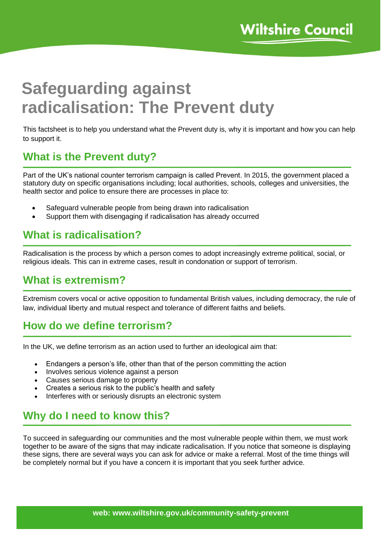# **Safeguarding against radicalisation: The Prevent duty**

This factsheet is to help you understand what the Prevent duty is, why it is important and how you can help to support it.

## **What is the Prevent duty?**

Part of the UK's national counter terrorism campaign is called Prevent. In 2015, the government placed a statutory duty on specific organisations including; local authorities, schools, colleges and universities, the health sector and police to ensure there are processes in place to:

- Safeguard vulnerable people from being drawn into radicalisation
- Support them with disengaging if radicalisation has already occurred

## **What is radicalisation?**

Radicalisation is the process by which a person comes to adopt increasingly extreme political, social, or religious ideals. This can in extreme cases, result in condonation or support of terrorism.

#### **What is extremism?**

Extremism covers vocal or active opposition to fundamental British values, including democracy, the rule of law, individual liberty and mutual respect and tolerance of different faiths and beliefs.

## **How do we define terrorism?**

In the UK, we define terrorism as an action used to further an ideological aim that:

- Endangers a person's life, other than that of the person committing the action
- Involves serious violence against a person
- Causes serious damage to property
- Creates a serious risk to the public's health and safety
- Interferes with or seriously disrupts an electronic system

## **Why do I need to know this?**

To succeed in safeguarding our communities and the most vulnerable people within them, we must work together to be aware of the signs that may indicate radicalisation. If you notice that someone is displaying these signs, there are several ways you can ask for advice or make a referral. Most of the time things will be completely normal but if you have a concern it is important that you seek further advice.